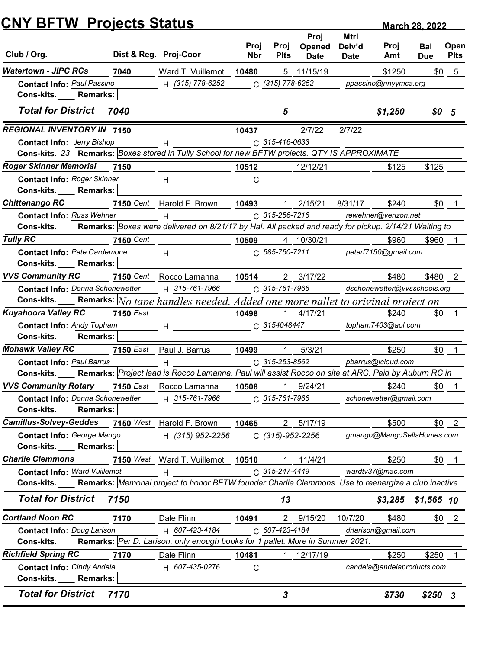|                                                                                                                                                     | <b>CNY BFTW Projects Status</b> |                                                                                                                                                                                                                                |              |                                  |                   |                |                              | <b>March 28, 2022</b> |                |
|-----------------------------------------------------------------------------------------------------------------------------------------------------|---------------------------------|--------------------------------------------------------------------------------------------------------------------------------------------------------------------------------------------------------------------------------|--------------|----------------------------------|-------------------|----------------|------------------------------|-----------------------|----------------|
|                                                                                                                                                     |                                 |                                                                                                                                                                                                                                | Proj         | Proj                             | Proj<br>Opened    | Mtrl<br>Delv'd | Proj                         | Bal                   | Open           |
| Club / Org.                                                                                                                                         |                                 | Dist & Reg. Proj-Coor                                                                                                                                                                                                          | <b>Nbr</b>   | <b>Plts</b>                      | <b>Date</b>       | <b>Date</b>    | Amt                          | <b>Due</b>            | <b>Plts</b>    |
| <b>Watertown - JIPC RCs</b>                                                                                                                         | 7040                            | Ward T. Vuillemot                                                                                                                                                                                                              | 10480        |                                  | 5 11/15/19        |                | \$1250                       | \$0                   | 5              |
| <b>Contact Info: Paul Passino</b><br>Cons-kits.<br><b>Remarks:</b>                                                                                  |                                 | H (315) 778-6252                                                                                                                                                                                                               |              | C (315) 778-6252                 |                   |                | ppassino@nnyymca.org         |                       |                |
| <b>Total for District</b>                                                                                                                           | 7040                            |                                                                                                                                                                                                                                |              | 5                                |                   |                | \$1,250                      | \$0 <sub>5</sub>      |                |
| <b>REGIONAL INVENTORY IN 7150</b>                                                                                                                   |                                 |                                                                                                                                                                                                                                | 10437        |                                  | 2/7/22            | 2/7/22         |                              |                       |                |
| <b>Contact Info: Jerry Bishop</b>                                                                                                                   |                                 | н                                                                                                                                                                                                                              |              | C 315-416-0633                   |                   |                |                              |                       |                |
| Cons-kits. 23 Remarks: Boxes stored in Tully School for new BFTW projects. QTY IS APPROXIMATE                                                       |                                 |                                                                                                                                                                                                                                |              |                                  |                   |                |                              |                       |                |
| <b>Roger Skinner Memorial</b>                                                                                                                       | 7150                            |                                                                                                                                                                                                                                | 10512        |                                  | 12/12/21          |                | \$125                        | \$125                 |                |
| <b>Contact Info: Roger Skinner</b>                                                                                                                  |                                 | н                                                                                                                                                                                                                              | C            |                                  |                   |                |                              |                       |                |
| Cons-kits.<br><b>Remarks:</b>                                                                                                                       |                                 |                                                                                                                                                                                                                                |              |                                  |                   |                |                              |                       |                |
| <b>Chittenango RC</b>                                                                                                                               | 7150 Cent                       | Harold F. Brown                                                                                                                                                                                                                | 10493        |                                  | 2/15/21           | 8/31/17        | \$240                        | \$0                   |                |
| <b>Contact Info: Russ Wehner</b><br>Cons-kits. Remarks: Boxes were delivered on 8/21/17 by Hal. All packed and ready for pickup. 2/14/21 Waiting to |                                 | H                                                                                                                                                                                                                              |              | C 315-256-7216                   |                   |                | rewehner@verizon.net         |                       |                |
| <b>Tully RC</b>                                                                                                                                     | <b>7150</b> Cent                |                                                                                                                                                                                                                                | 10509        |                                  | 4 10/30/21        |                | \$960                        | \$960 1               |                |
| Contact Info: Pete Cardemone                                                                                                                        |                                 | $H$ and the set of $H$ and $H$ and $H$ and $H$ and $H$ and $H$ and $H$ and $H$ and $H$ and $H$ and $H$ and $H$ and $H$ and $H$ and $H$ and $H$ and $H$ and $H$ and $H$ and $H$ and $H$ and $H$ and $H$ and $H$ and $H$ and $H$ |              | $C. 585 - 750 - 7211$            |                   |                | peterf7150@gmail.com         |                       |                |
| Cons-kits.<br><b>Remarks:</b>                                                                                                                       |                                 |                                                                                                                                                                                                                                |              |                                  |                   |                |                              |                       |                |
| <b>VVS Community RC</b>                                                                                                                             |                                 | 7150 Cent Rocco Lamanna                                                                                                                                                                                                        | 10514        |                                  | 2 3/17/22         |                | \$480                        | \$480                 | $\overline{2}$ |
| <b>Contact Info: Donna Schonewetter</b>                                                                                                             |                                 | H 315-761-7966                                                                                                                                                                                                                 |              | C 315-761-7966                   |                   |                | dschonewetter@vvsschools.org |                       |                |
| Cons-kits.                                                                                                                                          |                                 | Remarks: No tape handles needed. Added one more pallet to original project on                                                                                                                                                  |              |                                  |                   |                |                              |                       |                |
| <b>Kuyahoora Valley RC</b>                                                                                                                          | <b>7150 East</b>                |                                                                                                                                                                                                                                | 10498        |                                  | $1 \quad 4/17/21$ |                | \$240                        | <b>SO</b>             |                |
| <b>Contact Info: Andy Topham</b>                                                                                                                    |                                 | $H$ and $H$                                                                                                                                                                                                                    |              | C 3154048447                     |                   |                | topham7403@aol.com           |                       |                |
| Cons-kits.<br><b>Remarks:</b>                                                                                                                       |                                 |                                                                                                                                                                                                                                |              |                                  |                   |                |                              |                       |                |
| <b>Mohawk Valley RC</b>                                                                                                                             |                                 | 7150 East Paul J. Barrus                                                                                                                                                                                                       | 10499        | -1                               | 5/3/21            |                | \$250                        | \$0                   |                |
| <b>Contact Info: Paul Barrus</b>                                                                                                                    |                                 | H                                                                                                                                                                                                                              |              | C 315-253-8562                   |                   |                | pbarrus@icloud.com           |                       |                |
| Cons-kits. Remarks: Project lead is Rocco Lamanna. Paul will assist Rocco on site at ARC. Paid by Auburn RC in                                      |                                 |                                                                                                                                                                                                                                |              |                                  |                   |                |                              |                       |                |
| <b>VVS Community Rotary</b>                                                                                                                         |                                 | 7150 East Rocco Lamanna                                                                                                                                                                                                        | 10508        | $\tilde{1}$                      | 9/24/21           |                | \$240                        | \$0                   |                |
| <b>Contact Info: Donna Schonewetter</b>                                                                                                             |                                 | H 315-761-7966                                                                                                                                                                                                                 |              | C 315-761-7966                   |                   |                | schonewetter@gmail.com       |                       |                |
| <b>Cons-kits.</b><br><b>Remarks:</b>                                                                                                                |                                 |                                                                                                                                                                                                                                |              |                                  |                   |                |                              |                       |                |
| Camillus-Solvey-Geddes 7150 West Harold F. Brown                                                                                                    |                                 |                                                                                                                                                                                                                                | 10465        |                                  | 2 5/17/19         |                | \$500                        |                       | $$0 \quad 2$   |
| Contact Info: George Mango                                                                                                                          |                                 | H (315) 952-2256                                                                                                                                                                                                               |              | C (315)-952-2256                 |                   |                | gmango@MangoSellsHomes.com   |                       |                |
| Cons-kits.<br><b>Remarks:</b><br><b>Charlie Clemmons</b>                                                                                            |                                 |                                                                                                                                                                                                                                |              |                                  |                   |                |                              |                       |                |
| <b>Contact Info: Ward Vuillemot</b>                                                                                                                 |                                 | 7150 West Ward T. Vuillemot 10510                                                                                                                                                                                              |              | $\overline{1}$<br>C 315-247-4449 | 11/4/21           |                | \$250<br>wardtv37@mac.com    |                       | $$0$ 1         |
| Cons-kits. Remarks: Memorial project to honor BFTW founder Charlie Clemmons. Use to reenergize a club inactive                                      |                                 | H                                                                                                                                                                                                                              |              |                                  |                   |                |                              |                       |                |
| <b>Total for District</b>                                                                                                                           | 7150                            |                                                                                                                                                                                                                                |              | 13                               |                   |                | $$3,285$ $$1,565$ 10         |                       |                |
| <b>Cortland Noon RC</b>                                                                                                                             | 7170                            | Dale Flinn                                                                                                                                                                                                                     | 10491        |                                  | 2 9/15/20         | 10/7/20        | \$480                        |                       | $$0 \quad 2$   |
| <b>Contact Info: Doug Larison</b>                                                                                                                   |                                 | H 607-423-4184                                                                                                                                                                                                                 |              | C 607-423-4184                   |                   |                | drlarison@gmail.com          |                       |                |
| Cons-kits.                                                                                                                                          |                                 | Remarks: Per D. Larison, only enough books for 1 pallet. More in Summer 2021.                                                                                                                                                  |              |                                  |                   |                |                              |                       |                |
| <b>Richfield Spring RC</b>                                                                                                                          | 7170                            | Dale Flinn                                                                                                                                                                                                                     | 10481        | $\overline{1}$                   | 12/17/19          |                | \$250                        | \$250                 |                |
| <b>Contact Info: Cindy Andela</b>                                                                                                                   |                                 | H 607-435-0276                                                                                                                                                                                                                 | $\mathsf{C}$ |                                  |                   |                | candela@andelaproducts.com   |                       |                |
| Cons-kits._____ Remarks:                                                                                                                            |                                 |                                                                                                                                                                                                                                |              |                                  |                   |                |                              |                       |                |
|                                                                                                                                                     | 7170                            |                                                                                                                                                                                                                                |              | 3                                |                   |                | \$730                        | $$250$ 3              |                |
| <b>Total for District</b>                                                                                                                           |                                 |                                                                                                                                                                                                                                |              |                                  |                   |                |                              |                       |                |